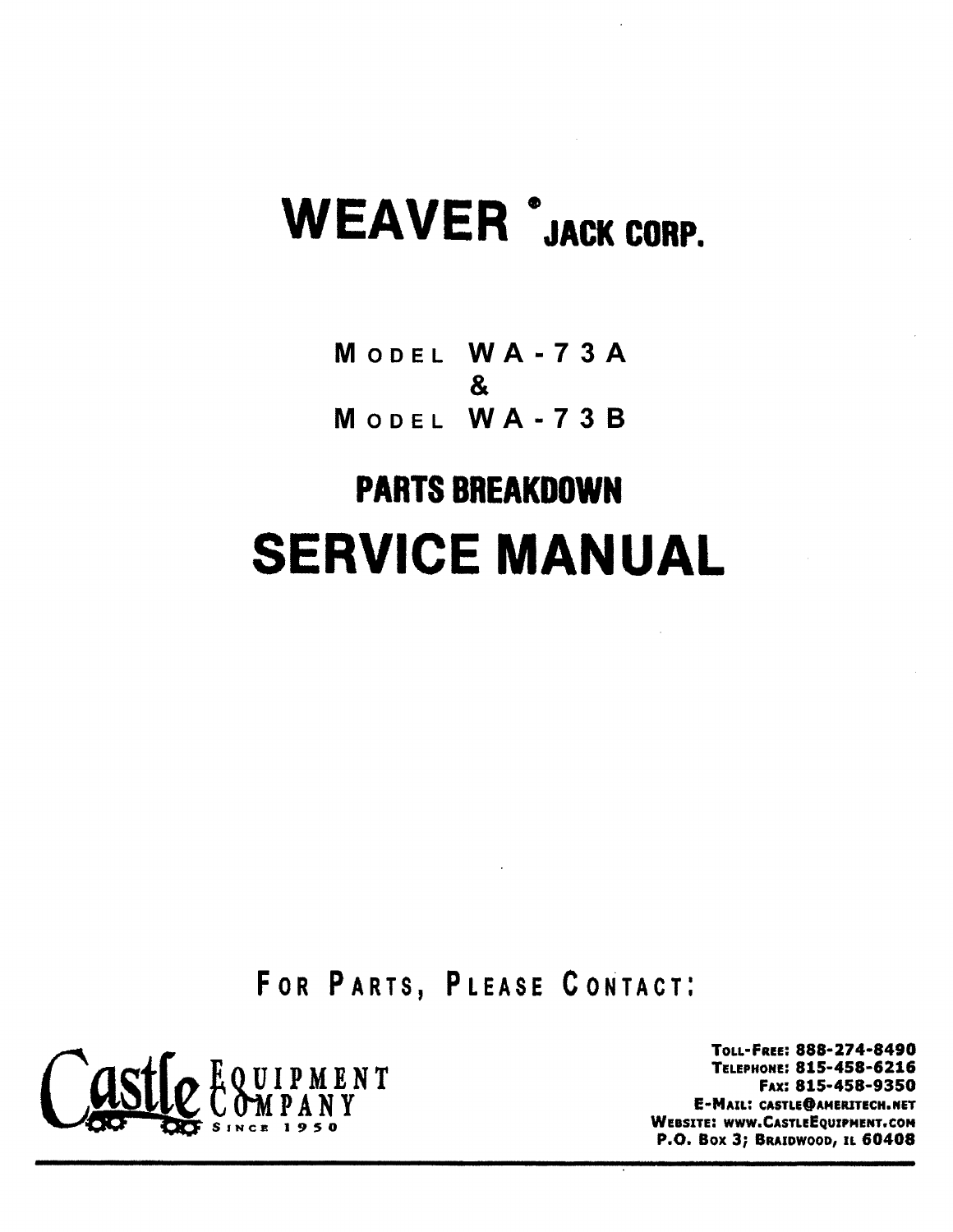# WEAVER <sup>\*</sup>JACK CORP.

MODEL WA·73A & MODEL WA·738

# PARTS BREAKDOWN **SERVICE MANUAL**

FOR PARTS, PLEASE CONTACT:



TOLL-FREE: 888-274-8490 TELEPHONE: 815-458-6216 FAX: 815-458-9350 E-MAIL: CASTLE@AMERITECH.NET WEBSITE: WWW.CASTLEEQUIPMENT.COM P.O. Box 3; BRAIDWOOD, IL 60408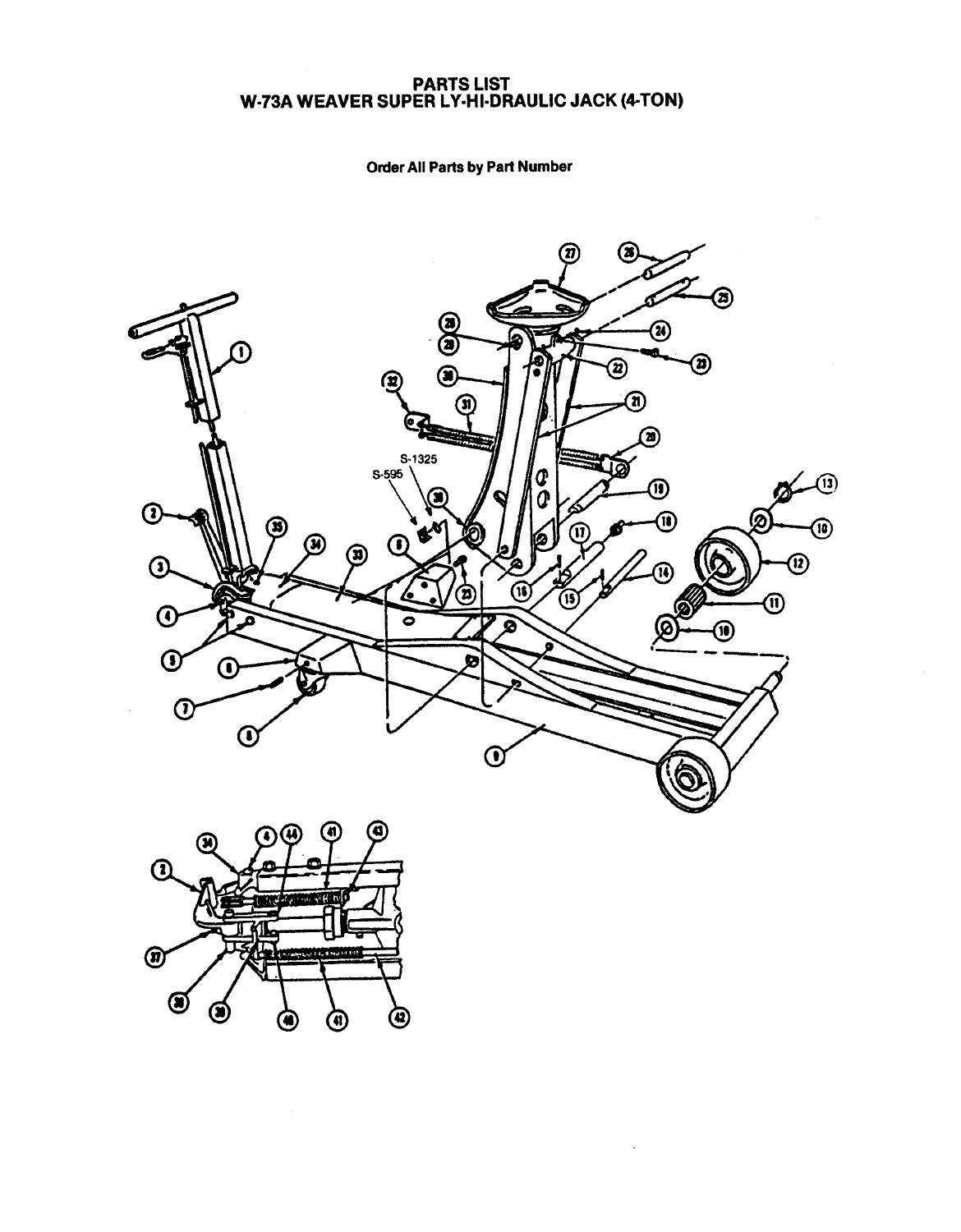### ANTU LIUT<br>D I V.UI.ND. W·73A WEAVER SUPER LY·HI·DRAULIC JACK (4-TON)

### **Order All Parts by Part Number**



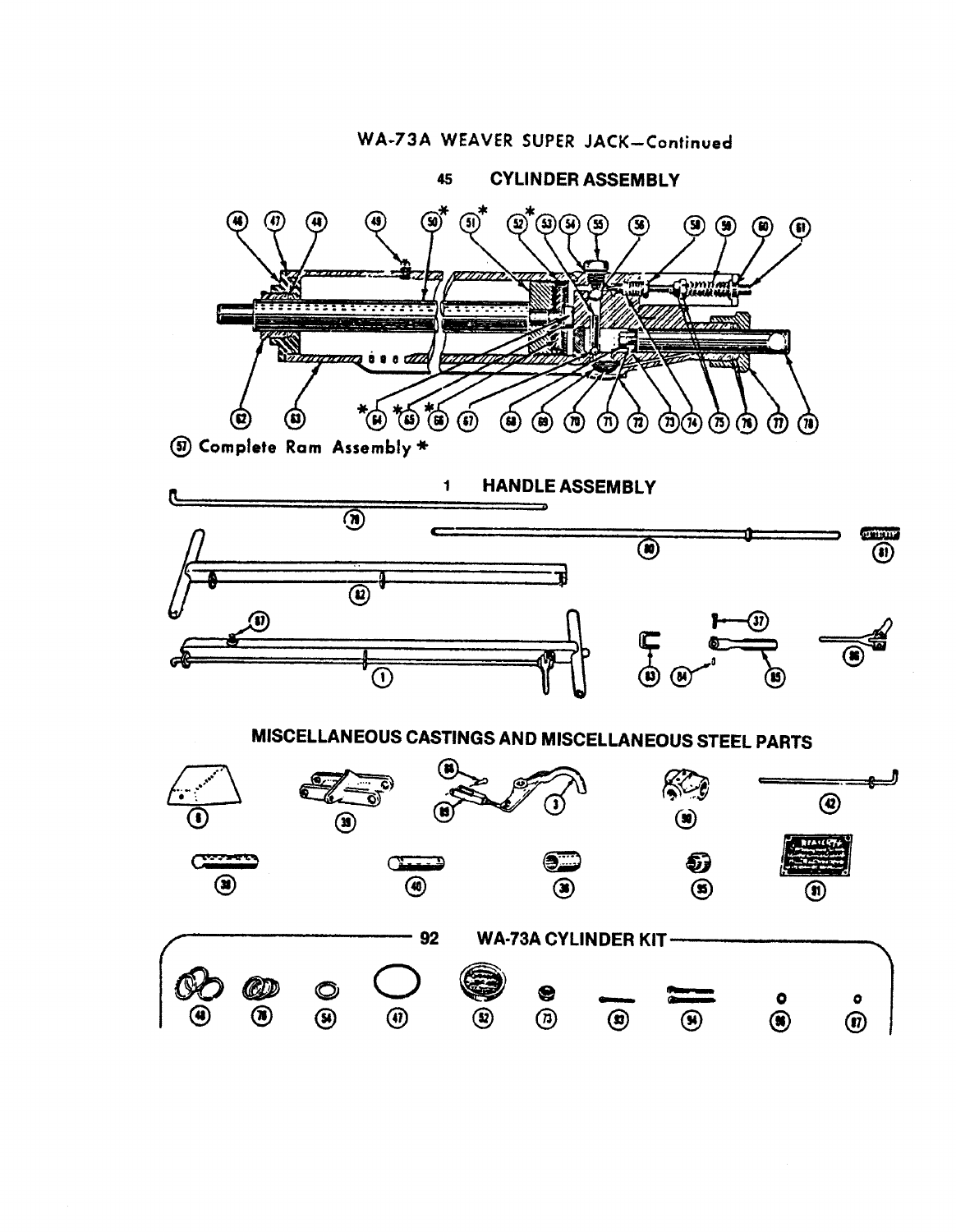### WA-73A WEAVER SUPER JACK-Continued

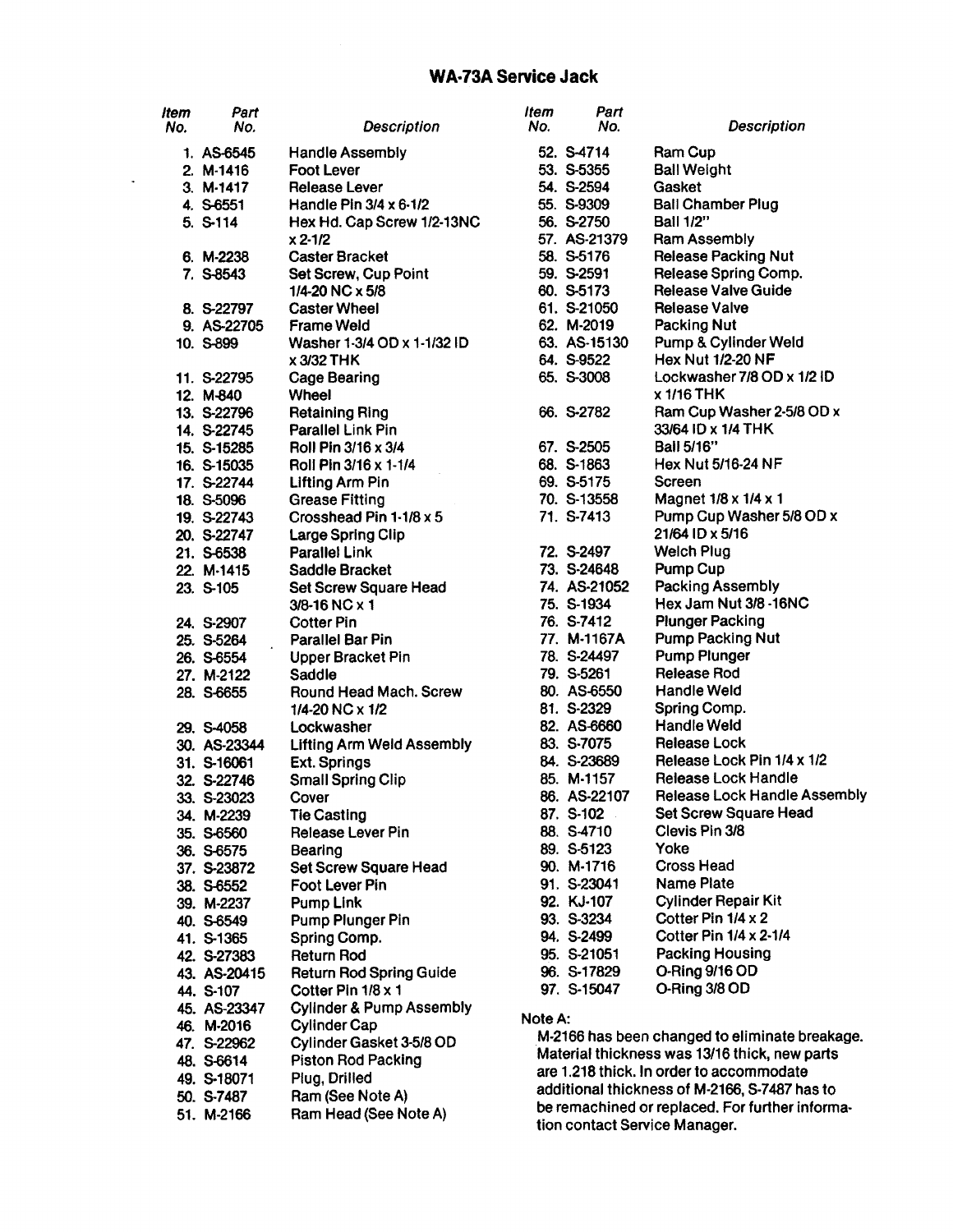### **WA·73A Service Jack**

 $\mathcal{A}$ 

| <b>Item</b><br>No. | Part<br>No.              | <b>Description</b>                      | <b>Item</b><br>No.                            | Part<br>No.               | <b>Description</b>                              |
|--------------------|--------------------------|-----------------------------------------|-----------------------------------------------|---------------------------|-------------------------------------------------|
|                    | 1. AS-6545               | <b>Handle Assembly</b>                  |                                               | 52. S-4714                | <b>Ram Cup</b>                                  |
|                    | 2. M-1416                | <b>Foot Lever</b>                       |                                               | 53. S-5355                | <b>Ball Weight</b>                              |
|                    | $3. M-1417$              | <b>Release Lever</b>                    |                                               | 54. S-2594                | Gasket                                          |
|                    | 4. S-6551                | Handle Pin $3/4 \times 6.1/2$           |                                               | 55. S-9309                | <b>Ball Chamber Plug</b>                        |
|                    | 5. S-114                 | Hex Hd. Cap Screw 1/2-13NC              |                                               | 56. S-2750                | <b>Ball 1/2"</b>                                |
|                    |                          | x 2 1/2                                 |                                               | 57. AS-21379              | <b>Ram Assembly</b>                             |
|                    | 6. M-2238                | <b>Caster Bracket</b>                   |                                               | 58. S-5176                | <b>Release Packing Nut</b>                      |
|                    | 7. S-8543                | Set Screw, Cup Point                    |                                               | 59. S-2591                | Release Spring Comp.                            |
|                    |                          | 1/4-20 NC x 5/8                         |                                               | 60. S-5173                | <b>Release Valve Guide</b>                      |
|                    | 8. S-22797               | <b>Caster Wheel</b>                     |                                               | 61. S-21050               | <b>Release Valve</b>                            |
|                    | 9. AS-22705              | <b>Frame Weld</b>                       |                                               | 62. M-2019                | <b>Packing Nut</b>                              |
|                    | 10. S-899                | Washer 1-3/4 OD x 1-1/32 ID             |                                               | 63. AS-15130              | Pump & Cylinder Weld                            |
|                    |                          | <b>x 3/32 THK</b>                       |                                               | 64. S-9522                | <b>Hex Nut 1/2-20 NF</b>                        |
|                    | 11. S-22795              | <b>Cage Bearing</b>                     |                                               | 65. S-3008                | Lockwasher 7/8 OD x 1/2 ID                      |
|                    | 12. M-840                | Wheel                                   |                                               |                           | x 1/16 THK                                      |
|                    | 13. S-22796              | <b>Retaining Ring</b>                   |                                               | 66. S-2782                | Ram Cup Washer 2-5/8 OD x                       |
|                    | 14. S-22745              | <b>Parallel Link Pin</b>                |                                               |                           | 33/64 ID x 1/4 THK                              |
|                    | 15. S-15285              | Roll Pin 3/16 x 3/4                     |                                               | 67. S-2505                | <b>Ball 5/16"</b>                               |
|                    | 16. S-15035              | Roll Pin 3/16 x 1-1/4                   |                                               | 68. S-1863                | Hex Nut 5/16-24 NF                              |
|                    | 17. S-22744              | Lifting Arm Pin                         |                                               | 69. S-5175                | Screen                                          |
|                    | 18. S-5096               | <b>Grease Fitting</b>                   |                                               | 70. S-13558               | Magnet 1/8 x 1/4 x 1                            |
|                    | 19. S-22743              | Crosshead Pin 1-1/8 x 5                 |                                               | 71. S-7413                | Pump Cup Washer 5/8 OD x                        |
|                    | 20. S-22747              | Large Spring Clip                       |                                               |                           | 21/64 ID x 5/16                                 |
|                    | 21. S-6538               | <b>Parallel Link</b>                    |                                               | 72. S-2497                | <b>Welch Plug</b>                               |
|                    | 22. M-1415               | Saddle Bracket                          |                                               | 73. S-24648               | Pump Cup                                        |
|                    | 23. S-105                | <b>Set Screw Square Head</b>            |                                               | 74. AS-21052              | <b>Packing Assembly</b>                         |
|                    |                          | 3/8-16 NC x 1                           |                                               | 75. S-1934                | Hex Jam Nut 3/8 -16NC                           |
|                    | 24. S-2907               | <b>Cotter Pin</b>                       |                                               | 76. S-7412                | <b>Plunger Packing</b>                          |
|                    | 25. S-5264               | <b>Parallel Bar Pin</b>                 |                                               | 77. M-1167A               | <b>Pump Packing Nut</b>                         |
|                    | 26. S-6554               | <b>Upper Bracket Pin</b>                |                                               | 78. S-24497               | <b>Pump Plunger</b>                             |
|                    | 27. M-2122               | Saddle                                  |                                               | 79. S-5261                | <b>Release Rod</b>                              |
|                    | 28. S-6655               | Round Head Mach. Screw                  |                                               | 80. AS-6550               | <b>Handle Weld</b>                              |
|                    |                          | 1/4-20 NC x 1/2                         |                                               | 81. S-2329<br>82. AS-6660 | Spring Comp.<br><b>Handle Weld</b>              |
|                    | 29. S-4058               | Lockwasher                              |                                               | 83. S-7075                | <b>Release Lock</b>                             |
|                    | 30. AS-23344             | <b>Lifting Arm Weld Assembly</b>        |                                               | 84. S-23689               | Release Lock Pin 1/4 x 1/2                      |
|                    | 31. S-16061              | Ext. Springs                            |                                               | 85. M-1157                | <b>Release Lock Handle</b>                      |
|                    | 32. S-22746              | <b>Small Spring Clip</b>                |                                               | 86. AS-22107              | <b>Release Lock Handle Assembly</b>             |
|                    | 33. S-23023              | Cover                                   |                                               | 87. S-102                 | <b>Set Screw Square Head</b>                    |
|                    | 34. M-2239               | <b>Tie Casting</b><br>Release Lever Pin |                                               | 88. S-4710                | Clevis Pin 3/8                                  |
|                    | 35. S-6560<br>36. S-6575 | Bearing                                 |                                               | 89. S-5123                | Yoke                                            |
|                    | 37. S-23872              | Set Screw Square Head                   |                                               | 90. M-1716                | <b>Cross Head</b>                               |
|                    | 38. S-6552               | <b>Foot Lever Pin</b>                   |                                               | 91. S-23041               | <b>Name Plate</b>                               |
|                    | 39. M-2237               | <b>Pump Link</b>                        |                                               | 92. KJ-107                | <b>Cylinder Repair Kit</b>                      |
|                    | 40. S-6549               | Pump Plunger Pin                        |                                               | 93. S-3234                | Cotter Pin 1/4 x 2                              |
|                    | 41. S-1365               | Spring Comp.                            |                                               | 94. S-2499                | Cotter Pin 1/4 x 2-1/4                          |
|                    | 42. S-27383              | Return Rod                              |                                               | 95. S-21051               | <b>Packing Housing</b>                          |
|                    | 43. AS-20415             | <b>Return Rod Spring Guide</b>          |                                               | 96. S-17829               | O-Ring 9/16 OD                                  |
|                    | 44. S-107                | Cotter Pin 1/8 x 1                      |                                               | 97. S-15047               | O-Ring 3/8 OD                                   |
|                    | 45. AS-23347             | <b>Cylinder &amp; Pump Assembly</b>     |                                               |                           |                                                 |
|                    | 46. M-2016               | <b>Cylinder Cap</b>                     | Note A:                                       |                           |                                                 |
|                    | 47. S-22962              | Cylinder Gasket 3-5/8 OD                |                                               |                           | M-2166 has been changed to eliminate breakage.  |
|                    | 48. S-6614               | <b>Piston Rod Packing</b>               | Material thickness was 13/16 thick, new parts |                           |                                                 |
|                    | 49. S-18071              | Plug, Drilled                           | are 1.218 thick. In order to accommodate      |                           |                                                 |
|                    | 50. S-7487               | Ram (See Note A)                        |                                               |                           | additional thickness of M-2166, S-7487 has to   |
|                    | 51. M-2166               | Ram Head (See Note A)                   |                                               |                           | be remachined or replaced. For further informa- |
|                    |                          |                                         |                                               |                           | tion contact Service Manager.                   |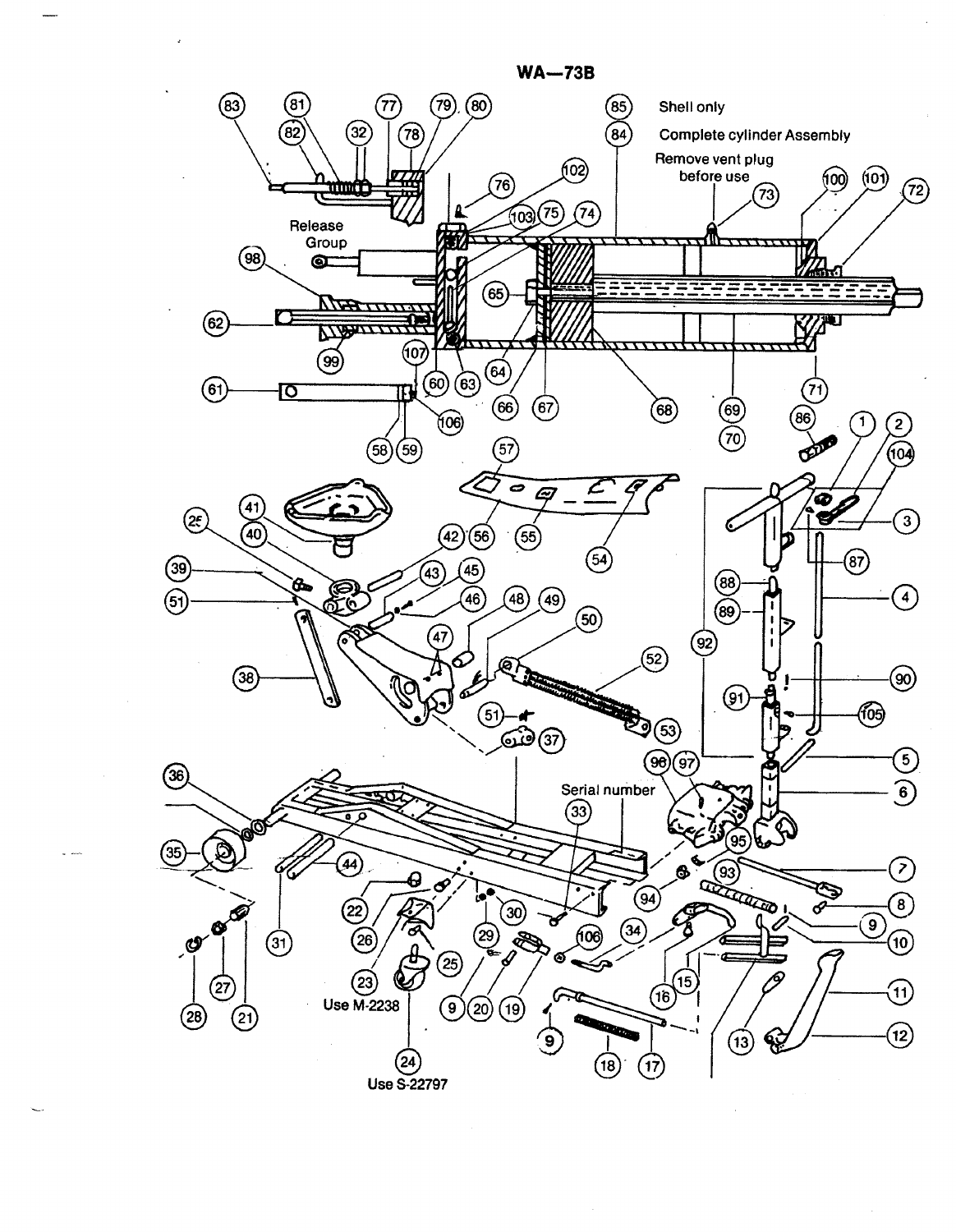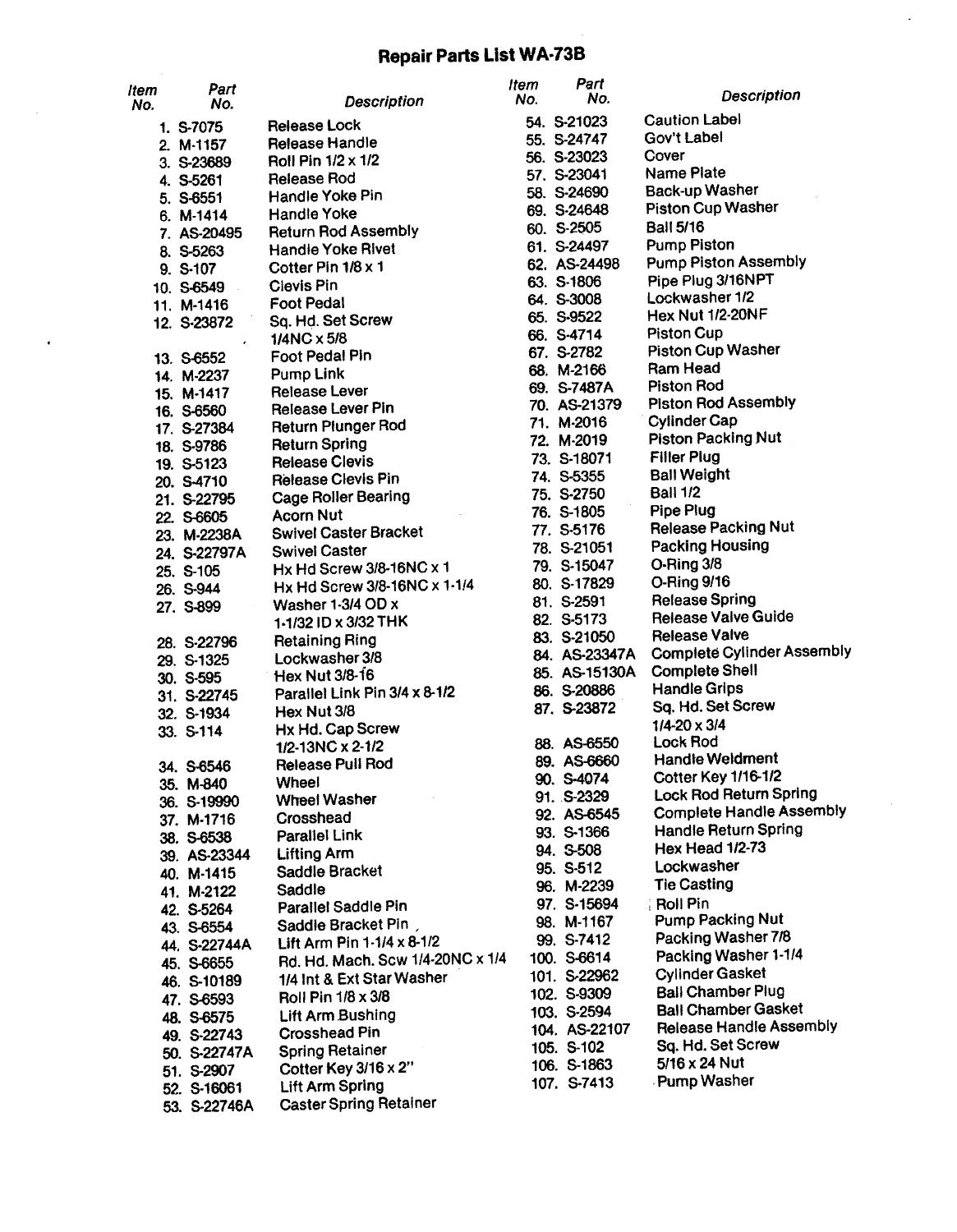### **Repair Parts List WA·73B**

 $\ddot{\phantom{0}}$ 

| ltem<br>No. | Part<br>No.             | <b>Description</b>                                       | ltem<br>No. | Part<br>No.               | <b>Description</b>                                |
|-------------|-------------------------|----------------------------------------------------------|-------------|---------------------------|---------------------------------------------------|
|             | 1, S-7075               | <b>Release Lock</b>                                      |             | 54. S-21023               | <b>Caution Label</b>                              |
|             | 2. M-1157               | <b>Release Handle</b>                                    |             | 55. S-24747               | Gov't Label                                       |
|             | 3. S-23689              | Roll Pin $1/2 \times 1/2$                                |             | 56. S-23023               | Cover                                             |
|             | 4. S-5261               | <b>Release Rod</b>                                       |             | 57. S-23041               | <b>Name Plate</b>                                 |
|             | 5. S-6551               | <b>Handle Yoke Pin</b>                                   |             | 58. S-24690               | <b>Back-up Washer</b>                             |
|             | $6. M-1414$             | <b>Handle Yoke</b>                                       |             | 69. S-24648               | <b>Piston Cup Washer</b>                          |
|             | 7. AS-20495             | <b>Return Rod Assembly</b>                               |             | 60. S-2505                | <b>Ball 5/16</b>                                  |
|             | 8. S-5263               | <b>Handle Yoke Rivet</b>                                 |             | 61. S-24497               | <b>Pump Piston</b>                                |
|             | 9. S-107                | Cotter Pin 1/8 x 1                                       |             | 62. AS-24498              | <b>Pump Piston Assembly</b>                       |
|             | 10. S-6549              | <b>Clevis Pin</b>                                        |             | 63. S-1806                | Pipe Plug 3/16NPT                                 |
|             | 11. M-1416              | <b>Foot Pedal</b>                                        |             | 64. S-3008                | Lockwasher 1/2                                    |
|             | 12. S-23872             | Sq. Hd. Set Screw                                        |             | 65. S-9522                | <b>Hex Nut 1/2-20NF</b>                           |
|             |                         | $1/4NC \times 5/8$                                       |             | 66. S-4714                | <b>Piston Cup</b>                                 |
|             | 13. S-6552              | <b>Foot Pedal Pin</b>                                    |             | 67. S-2782                | <b>Piston Cup Washer</b>                          |
|             | 14. M-2237              | <b>Pump Link</b>                                         |             | 68. M-2166                | Ram Head                                          |
|             | 15. M-1417              | <b>Release Lever</b>                                     |             | 69. S-7487A               | <b>Piston Rod</b>                                 |
|             | 16. S-6560              | Release Lever Pin                                        |             | 70. AS-21379              | <b>Piston Rod Assembly</b><br><b>Cylinder Cap</b> |
|             | 17. S-27384             | <b>Return Plunger Rod</b>                                |             | 71. M-2016                | <b>Piston Packing Nut</b>                         |
|             | 18. S-9786              | <b>Return Spring</b>                                     |             | 72. M-2019<br>73. S-18071 | <b>Filler Plug</b>                                |
|             | 19. S-5123              | <b>Release Clevis</b>                                    |             | 74. S-5355                | <b>Ball Weight</b>                                |
|             | 20. S-4710              | <b>Release Clevis Pin</b>                                |             | 75. S-2750                | <b>Ball 1/2</b>                                   |
|             | 21. S-22795             | <b>Cage Roller Bearing</b>                               |             | 76. S-1805                | <b>Pipe Plug</b>                                  |
|             | 22. S-6605              | <b>Acorn Nut</b>                                         |             | 77. S-5176                | <b>Release Packing Nut</b>                        |
|             | 23. M-2238A             | <b>Swivel Caster Bracket</b>                             |             | 78. S-21051               | Packing Housing                                   |
|             | 24. S-22797A            | <b>Swivel Caster</b>                                     |             | 79. S-15047               | O-Ring 3/8                                        |
|             | 25. S-105               | Hx Hd Screw 3/8-16NC x 1<br>Hx Hd Screw 3/8-16NC x 1-1/4 |             | 80. S-17829               | O-Ring 9/16                                       |
|             | 26. S-944               | Washer 1-3/4 OD x                                        |             | 81. S-2591                | <b>Release Spring</b>                             |
|             | 27. S-899               | 1-1/32 ID x 3/32 THK                                     |             | 82. S-5173                | <b>Release Valve Guide</b>                        |
|             |                         |                                                          |             | 83. S-21050               | <b>Release Valve</b>                              |
|             | 28. S-22796             | <b>Retaining Ring</b><br>Lockwasher 3/8                  |             | 84. AS-23347A             | <b>Complete Cylinder Assembly</b>                 |
|             | 29. S-1325<br>30. S-595 | Hex Nut 3/8-16                                           |             | 85. AS-15130A             | <b>Complete Shell</b>                             |
|             | 31. S-22745             | Parallel Link Pin 3/4 x 8-1/2                            |             | 86. S-20886               | <b>Handle Grips</b>                               |
|             | 32. S-1934              | Hex Nut 3/8                                              |             | 87. S-23872               | Sq. Hd. Set Screw                                 |
|             | 33. S-114               | Hx Hd. Cap Screw                                         |             |                           | $1/4 - 20 \times 3/4$                             |
|             |                         | 1/2-13NC x 2-1/2                                         |             | 88. AS-6550               | <b>Lock Rod</b>                                   |
|             | 34. S-6546              | Release Pull Rod                                         |             | 89. AS-6660               | <b>Handle Weldment</b>                            |
|             | 35. M-840               | Wheel                                                    |             | 90. S-4074                | <b>Cotter Key 1/16-1/2</b>                        |
|             | 36. S-19990             | <b>Wheel Washer</b>                                      |             | 91. S-2329                | <b>Lock Rod Return Spring</b>                     |
|             | 37. M-1716              | Crosshead                                                |             | 92. AS-6545               | <b>Complete Handle Assembly</b>                   |
|             | 38. S-6538              | Parallel Link                                            |             | 93. S-1366                | <b>Handle Return Spring</b>                       |
|             | 39. AS-23344            | <b>Lifting Arm</b>                                       |             | 94. S-508                 | <b>Hex Head 1/2-73</b>                            |
|             | 40. M-1415              | Saddle Bracket                                           |             | 95. S-512                 | Lockwasher                                        |
|             | 41. M-2122              | Saddle                                                   |             | 96. M-2239                | <b>Tie Casting</b>                                |
|             | 42. S-5264              | Parallel Saddle Pin                                      |             | 97. S-15694               | <b>Roll Pin</b>                                   |
|             | 43. S-6554              | Saddle Bracket Pin                                       |             | 98. M-1167                | <b>Pump Packing Nut</b>                           |
|             | 44. S-22744A            | Lift Arm Pin 1-1/4 x 8-1/2                               |             | 99. S-7412                | Packing Washer 7/8                                |
|             | 45. S-6655              | Rd. Hd. Mach. Scw 1/4-20NC x 1/4                         |             | 100. S-6614               | Packing Washer 1-1/4                              |
|             | 46. S-10189             | 1/4 Int & Ext Star Washer                                |             | 101. S-22962              | <b>Cylinder Gasket</b>                            |
|             | 47. S-6593              | Roll Pin 1/8 x 3/8                                       |             | 102. S-9309               | <b>Ball Chamber Plug</b>                          |
|             | 48. S-6575              | Lift Arm Bushing                                         |             | 103. S-2594               | <b>Ball Chamber Gasket</b>                        |
|             | 49. S-22743             | <b>Crosshead Pin</b>                                     |             | 104. AS-22107             | <b>Release Handle Assembly</b>                    |
|             | 50. S-22747A            | <b>Spring Retainer</b>                                   |             | 105. S-102                | Sq. Hd. Set Screw<br>5/16 x 24 Nut                |
|             | 51. S-2907              | Cotter Key 3/16 x 2"                                     |             | 106. S-1863               | <b>Pump Washer</b>                                |
|             | 52. S-16061             | <b>Lift Arm Spring</b>                                   |             | 107. S-7413               |                                                   |
|             | 53. S-22746A            | <b>Caster Spring Retainer</b>                            |             |                           |                                                   |

 $\ddot{\phantom{a}}$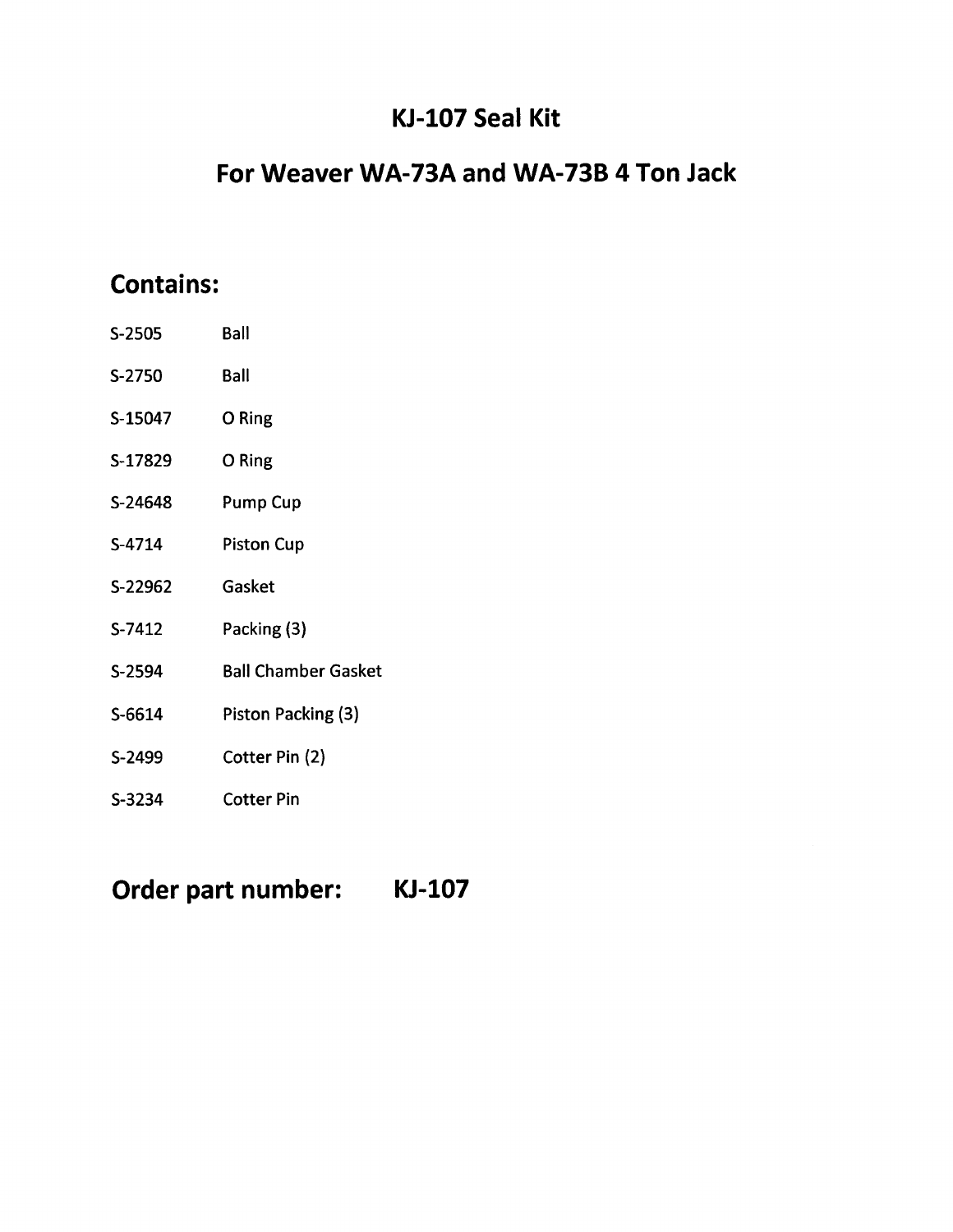## **KJ-l07 Seal Kit**

### **For Weaver WA-73A and WA-73B 4 Ton Jack**

## **Contains:**

| S-2505  | <b>Ball</b>                |
|---------|----------------------------|
| S-2750  | <b>Ball</b>                |
| S-15047 | O Ring                     |
| S-17829 | O Ring                     |
| S-24648 | Pump Cup                   |
| S-4714  | <b>Piston Cup</b>          |
| S-22962 | Gasket                     |
| S-7412  | Packing (3)                |
| S-2594  | <b>Ball Chamber Gasket</b> |
| S-6614  | Piston Packing (3)         |
| S-2499  | Cotter Pin (2)             |
| S-3234  | Cotter Pin                 |

**Order part number:**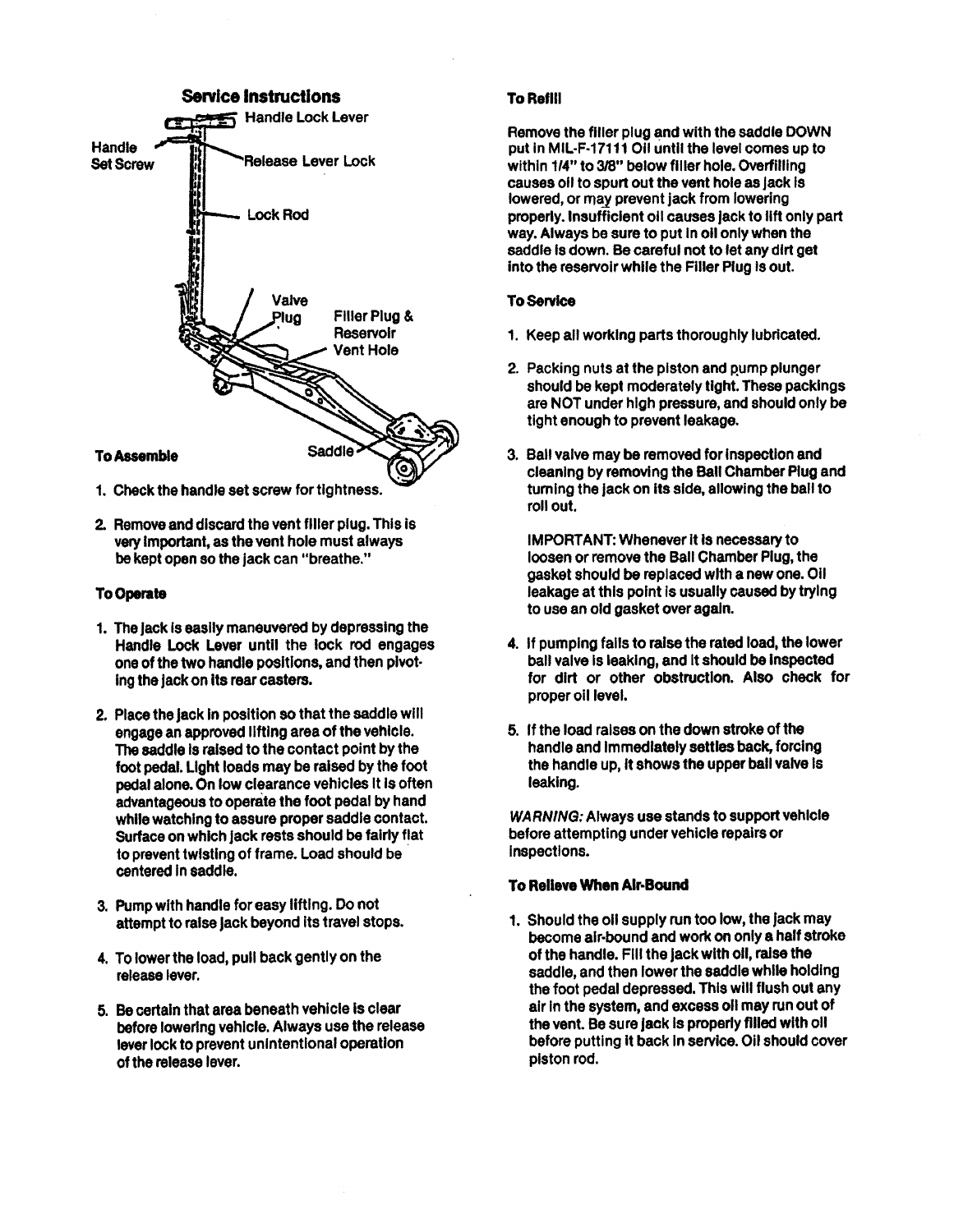

- 1. Check the handle set screw for tightness.
- 2. Remove and discard the vent filler plug. This is very Important, as the vent hole must always be kept open so the jack can "breathe."

#### **To Operate**

- 1. The jack is easily maneuvered by depressing the Handle Lock Lever until the lock rod engages one of the two handle positions, and then pivot· Ingthe jack on Its rear casters.
- 2. Place the jack in position so that the saddle will engage an approved lifting area of the vehicle. The saddle is raised to the contact point by the foot pedal. Light loads may be raised by the foot pedal alone. On low clearance vehicles It Is often advantageous to operate the foot pedal by hand while watching to assure proper saddle contact. Surface on which jack rests should be fairly flat to prevent twisting of frame. Load should be centered in saddie.
- 3. Pump with handle for easy lifting. Do not attempt to raise jack beyond its travel stops.
- 4. To lower the load, pull back gently on the release lever.
- 5. Becertain that area beneath vehicle Is clear before lowering vehicle. Always use the release lever lock to prevent unintentional operation of the release lever.

#### **To Refill**

Remove the filler plug and with the saddle DOWN put in MIL·F·17111 011 until the level comes up to within 1/4" to 3/8" below filler hole. Overfilling causes <sup>011</sup> to spurt out the vent hole as Jack Is lowered, or may prevent jack from lowering properly. Insufficient <sup>011</sup> causes jack to 11ft only part way. Always be sure to put in oil only when the saddle is down. Be careful not to let any dirt get into the reservoir while the Filler Plug Is out.

### To Service

- 1. Keep all working parts thoroughly lubricated.
- 2. Packing nuts at the piston and pump plunger should be kept moderately tight. These packlngs are NOT under high pressure, and should only be tight enough to prevent leakage.
- 3. Ball valve may be removed for Inspection and cleaning by removing the Ball Chamber Plug and turning the jack on its side, allowing the ball to roll out.

IMPORTANT: Whenever It Is necessary to loosen or remove the Ball Chamber Plug, the gasket should be replaced with a new one. 011 leakage at this point is usually caused by trying to use an old gasket over again.

- 4. If pumping falls to raise the rated load, the lower ball valve Is leaking, and It should be Inspected for dirt or other obstruction. Also check for proper oil level.
- 5. If the load raises on the down stroke of the handle and Immediately settles back, forcing the handle up, It shows the upper ball valve Is leaking.

*WARNING:* Always use stands to support vehicle before attempting under vehicle repairs or Inspections.

### To Relieve When Air-Bound

1. Should the oil supply run too low, the jack may become alr·bound and work on only a half stroke of the handle. Fill the jack with 011, raise the saddle, and then lower the saddle while holding the foot pedal depressed. This will flush out any air Inthe system, and excess 011 may run out of the vent. Be sure jack is properly filled with oil before putting it back in service. Oil should cover piston rod.